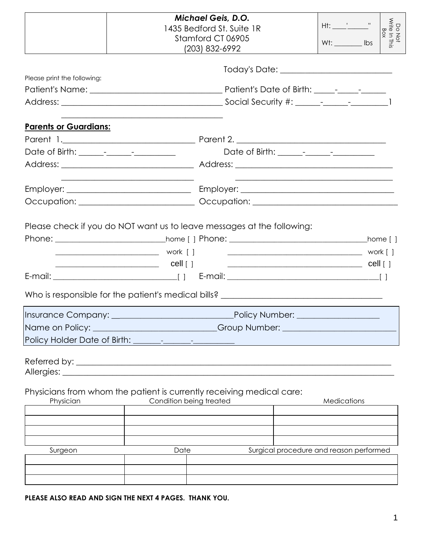|                              | <b>Michael Geis, D.O.</b><br>1435 Bedford St. Suite 1R<br>Stamford CT 06905<br>(203) 832-6992                                                              |                                          |                                                                                                                      |          |
|------------------------------|------------------------------------------------------------------------------------------------------------------------------------------------------------|------------------------------------------|----------------------------------------------------------------------------------------------------------------------|----------|
| Please print the following:  |                                                                                                                                                            | Today's Date: __________________________ |                                                                                                                      |          |
| <b>Parents or Guardians:</b> |                                                                                                                                                            |                                          |                                                                                                                      |          |
|                              | <u> 1989 - Johann Stoff, amerikansk politiker (d. 1989)</u>                                                                                                |                                          | <u> 1989 - Johann Stein, marwolaethau a bhann an t-Amhain an t-Amhain an t-Amhain an t-Amhain an t-Amhain an t-A</u> |          |
|                              | Please check if you do NOT want us to leave messages at the following:<br>Who is responsible for the patient's medical bills? ____________________________ |                                          |                                                                                                                      | home [ ] |
| Insurance Company:           | Name on Policy: _________________________Group Number: _________________________                                                                           | <b>Policy Number:</b>                    |                                                                                                                      |          |
|                              | Physicians from whom the patient is currently receiving medical care:                                                                                      |                                          |                                                                                                                      |          |
| Physician                    | Condition being treated                                                                                                                                    |                                          | Medications                                                                                                          |          |
| Surgeon                      | Date                                                                                                                                                       |                                          | Surgical procedure and reason performed                                                                              |          |

**PLEASE ALSO READ AND SIGN THE NEXT 4 PAGES. THANK YOU.**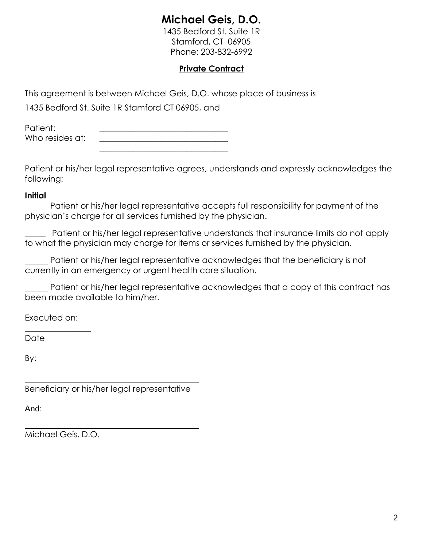# **Michael Geis, D.O.**

1435 Bedford St. Suite 1R Stamford, CT 06905 Phone: 203-832-6992

## **Private Contract**

This agreement is between Michael Geis, D.O. whose place of business is

1435 Bedford St. Suite 1R Stamford CT 06905, and

Patient: Who resides at: \_\_\_\_\_\_\_\_\_\_\_\_\_\_\_\_\_\_\_\_\_\_\_\_\_\_\_\_\_\_\_

Patient or his/her legal representative agrees, understands and expressly acknowledges the following:

## **Initial**

 Patient or his/her legal representative accepts full responsibility for payment of the physician's charge for all services furnished by the physician.

\_\_\_\_\_ Patient or his/her legal representative understands that insurance limits do not apply to what the physician may charge for items or services furnished by the physician.

 Patient or his/her legal representative acknowledges that the beneficiary is not currently in an emergency or urgent health care situation.

 Patient or his/her legal representative acknowledges that a copy of this contract has been made available to him/her.

Executed on:

**\_\_\_\_\_\_\_\_\_\_\_\_\_\_\_\_**

Date

By:

Beneficiary or his/her legal representative

And:

Michael Geis, D.O.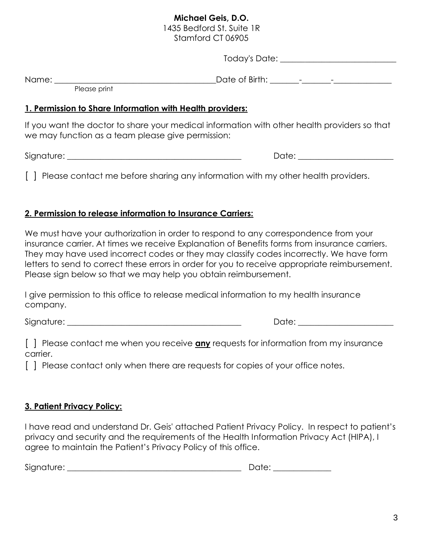## **Michael Geis, D.O.**

1435 Bedford St. Suite 1R Stamford CT 06905

Today's Date: \_\_\_\_\_\_\_\_\_\_\_\_\_\_\_\_\_\_\_\_\_\_\_\_\_\_\_\_

Name: \_\_\_\_\_\_\_\_\_\_\_\_\_\_\_\_\_\_\_\_\_\_\_\_\_\_\_\_\_\_\_\_\_\_\_\_\_\_\_Date of Birth: \_\_\_\_\_\_\_-\_\_\_\_\_\_\_-\_\_\_\_\_\_\_\_\_\_\_\_\_\_

Please print

## **1. Permission to Share Information with Health providers:**

If you want the doctor to share your medical information with other health providers so that we may function as a team please give permission:

Signature: \_\_\_\_\_\_\_\_\_\_\_\_\_\_\_\_\_\_\_\_\_\_\_\_\_\_\_\_\_\_\_\_\_\_\_\_\_\_\_\_\_\_ Date: \_\_\_\_\_\_\_\_\_\_\_\_\_\_\_\_\_\_\_\_\_\_\_

[] Please contact me before sharing any information with my other health providers.

## **2. Permission to release information to Insurance Carriers:**

We must have your authorization in order to respond to any correspondence from your insurance carrier. At times we receive Explanation of Benefits forms from insurance carriers. They may have used incorrect codes or they may classify codes incorrectly. We have form letters to send to correct these errors in order for you to receive appropriate reimbursement. Please sign below so that we may help you obtain reimbursement.

I give permission to this office to release medical information to my health insurance company.

Signature: \_\_\_\_\_\_\_\_\_\_\_\_\_\_\_\_\_\_\_\_\_\_\_\_\_\_\_\_\_\_\_\_\_\_\_\_\_\_\_\_\_\_ Date: \_\_\_\_\_\_\_\_\_\_\_\_\_\_\_\_\_\_\_\_\_\_\_

[ ] Please contact me when you receive **any** requests for information from my insurance carrier.

[ ] Please contact only when there are requests for copies of your office notes.

## **3. Patient Privacy Policy:**

I have read and understand Dr. Geis' attached Patient Privacy Policy. In respect to patient's privacy and security and the requirements of the Health Information Privacy Act (HIPA), I agree to maintain the Patient's Privacy Policy of this office.

Signature: \_\_\_\_\_\_\_\_\_\_\_\_\_\_\_\_\_\_\_\_\_\_\_\_\_\_\_\_\_\_\_\_\_\_\_\_\_\_\_\_\_\_ Date: \_\_\_\_\_\_\_\_\_\_\_\_\_\_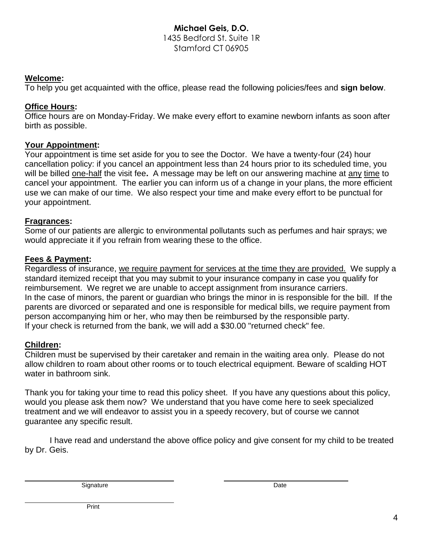#### **Michael Geis, D.O.** 1435 Bedford St. Suite 1R Stamford CT 06905

#### **Welcome:**

To help you get acquainted with the office, please read the following policies/fees and **sign below**.

#### **Office Hours:**

Office hours are on Monday-Friday. We make every effort to examine newborn infants as soon after birth as possible.

#### **Your Appointment:**

Your appointment is time set aside for you to see the Doctor. We have a twenty-four (24) hour cancellation policy: if you cancel an appointment less than 24 hours prior to its scheduled time, you will be billed one-half the visit fee**.** A message may be left on our answering machine at any time to cancel your appointment. The earlier you can inform us of a change in your plans, the more efficient use we can make of our time. We also respect your time and make every effort to be punctual for your appointment.

#### **Fragrances:**

Some of our patients are allergic to environmental pollutants such as perfumes and hair sprays; we would appreciate it if you refrain from wearing these to the office.

#### **Fees & Payment:**

Regardless of insurance, we require payment for services at the time they are provided. We supply a standard itemized receipt that you may submit to your insurance company in case you qualify for reimbursement. We regret we are unable to accept assignment from insurance carriers. In the case of minors, the parent or guardian who brings the minor in is responsible for the bill. If the parents are divorced or separated and one is responsible for medical bills, we require payment from person accompanying him or her, who may then be reimbursed by the responsible party. If your check is returned from the bank, we will add a \$30.00 "returned check" fee.

#### **Children:**

Children must be supervised by their caretaker and remain in the waiting area only. Please do not allow children to roam about other rooms or to touch electrical equipment. Beware of scalding HOT water in bathroom sink.

Thank you for taking your time to read this policy sheet. If you have any questions about this policy, would you please ask them now? We understand that you have come here to seek specialized treatment and we will endeavor to assist you in a speedy recovery, but of course we cannot guarantee any specific result.

I have read and understand the above office policy and give consent for my child to be treated by Dr. Geis.

Signature Date Date Date Contract and the Date Date Date Date Date Date